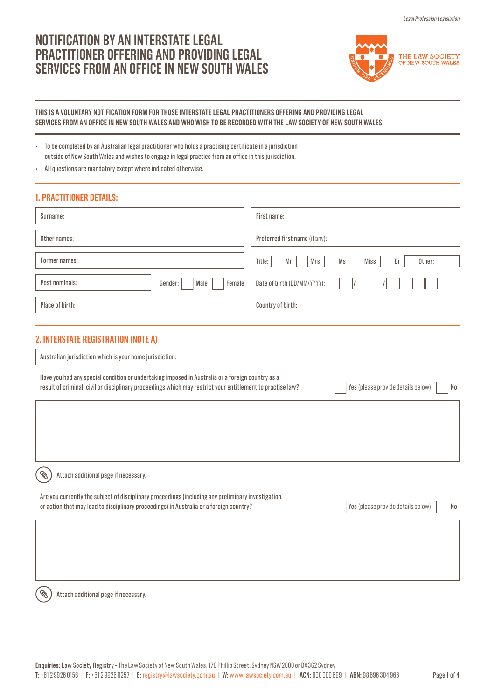# **NOTIFICATION BY AN INTERSTATE LEGAL PRACTITIONER OFFERING AND PROVIDING LEGAL SERVICES FROM AN OFFICE IN NEW SOUTH WALES**



## **THIS IS A VOLUNTARY NOTIFICATION FORM FOR THOSE INTERSTATE LEGAL PRACTITIONERS OFFERING AND PROVIDING LEGAL SERVICES FROM AN OFFICE IN NEW SOUTH WALES AND WHO WISH TO BE RECORDED WITH THE LAW SOCIETY OF NEW SOUTH WALES.**

• To be completed by an Australian legal practitioner who holds a practising certificate in a jurisdiction outside of New South Wales and wishes to engage in legal practice from an office in this jurisdiction.

• All questions are mandatory except where indicated otherwise.

# **1. PRACTITIONER DETAILS:**

| Surname:                                    | First name:                                       |
|---------------------------------------------|---------------------------------------------------|
| Other names:                                | Preferred first name (if any):                    |
| Former names:                               | Title:<br>Mrs<br>Ms<br>Miss<br>Dr<br>Mr<br>Other: |
| Post nominals:<br>Female<br>Gender:<br>Male | Date of birth (DD/MM/YYYY):                       |
| Place of birth:                             | Country of birth:                                 |
|                                             |                                                   |

# **2. INTERSTATE REGISTRATION (NOTE A)**

| Australian jurisdiction which is your home jurisdiction:                                                                                                                                                       |                                          |
|----------------------------------------------------------------------------------------------------------------------------------------------------------------------------------------------------------------|------------------------------------------|
| Have you had any special condition or undertaking imposed in Australia or a foreign country as a<br>result of criminal, civil or disciplinary proceedings which may restrict your entitlement to practise law? | Yes (please provide details below)<br>No |
|                                                                                                                                                                                                                |                                          |
|                                                                                                                                                                                                                |                                          |
|                                                                                                                                                                                                                |                                          |
| Attach additional page if necessary.                                                                                                                                                                           |                                          |
| Are you currently the subject of disciplinary proceedings (including any preliminary investigation<br>or action that may lead to disciplinary proceedings) in Australia or a foreign country?                  | Yes (please provide details below)<br>No |
|                                                                                                                                                                                                                |                                          |
|                                                                                                                                                                                                                |                                          |
|                                                                                                                                                                                                                |                                          |

Attach additional page if necessary.

 $\mathscr{C}$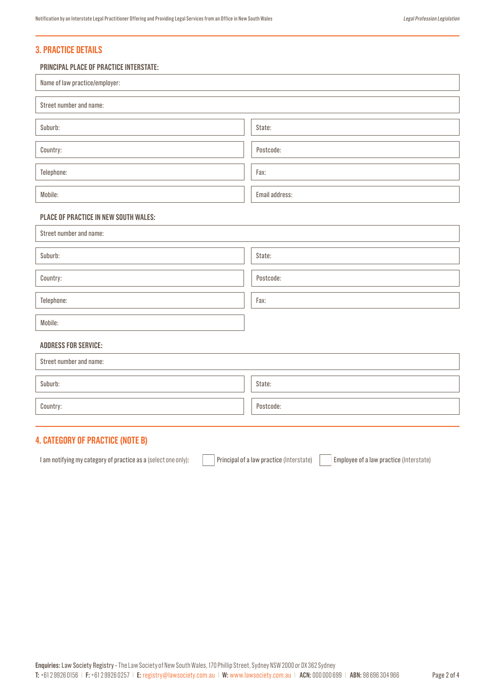# **3. PRACTICE DETAILS**

### **PRINCIPAL PLACE OF PRACTICE INTERSTATE:**

| Name of law practice/employer:        |                |  |
|---------------------------------------|----------------|--|
| Street number and name:               |                |  |
| Suburb:                               | State:         |  |
| Country:                              | Postcode:      |  |
| Telephone:                            | Fax:           |  |
| Mobile:                               | Email address: |  |
| PLACE OF PRACTICE IN NEW SOUTH WALES: |                |  |
| Street number and name:               |                |  |
| Suburb:                               | State:         |  |
| Country:                              | Postcode:      |  |
| Telephone:                            | Fax:           |  |
| Mobile:                               |                |  |
| <b>ADDRESS FOR SERVICE:</b>           |                |  |
| Street number and name:               |                |  |
| Suburb:                               | State:         |  |
| Country:                              | Postcode:      |  |

# **4. CATEGORY OF PRACTICE (NOTE B)**

I am notifying my category of practice as a (select one only): Principal of a law practice (Interstate) Employee of a law practice (Interstate)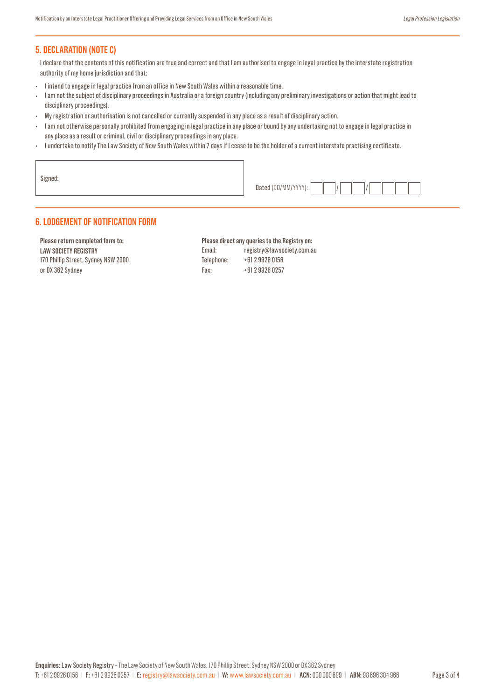# **5. DECLARATION (NOTE C)**

I declare that the contents of this notification are true and correct and that I am authorised to engage in legal practice by the interstate registration authority of my home jurisdiction and that;

- I intend to engage in legal practice from an office in New South Wales within a reasonable time.
- I am not the subject of disciplinary proceedings in Australia or a foreign country (including any preliminary investigations or action that might lead to disciplinary proceedings).
- My registration or authorisation is not cancelled or currently suspended in any place as a result of disciplinary action.
- I am not otherwise personally prohibited from engaging in legal practice in any place or bound by any undertaking not to engage in legal practice in any place as a result or criminal, civil or disciplinary proceedings in any place.
- I undertake to notify The Law Society of New South Wales within 7 days if I cease to be the holder of a current interstate practising certificate.

| Signed: |                     |
|---------|---------------------|
|         | Dated (DD/MM/YYYY): |

## **6. LODGEMENT OF NOTIFICATION FORM**

**Please return completed form to: LAW SOCIETY REGISTRY** 170 Phillip Street, Sydney NSW 2000 or DX 362 Sydney

### **Please direct any queries to the Registry on:**

Email: registry@lawsociety.com.au Telephone: +61 2 9926 0156 Fax: +61 2 9926 0257